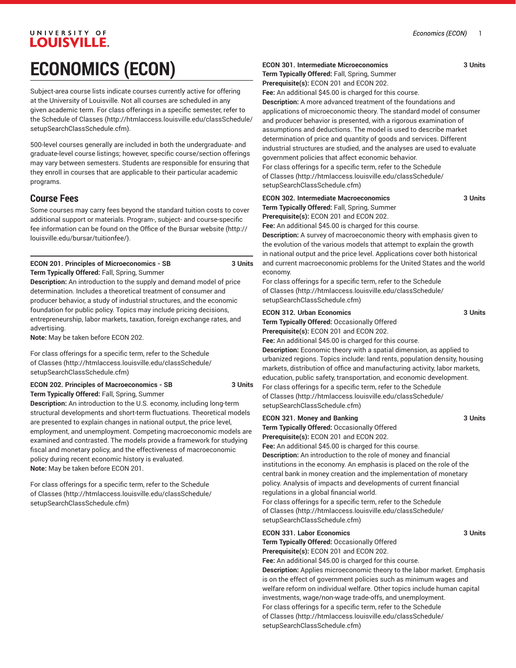## UNIVERSITY OF **LOUISVILLE. ECONOMICS (ECON)**

Subject-area course lists indicate courses currently active for offering at the University of Louisville. Not all courses are scheduled in any given academic term. For class offerings in a specific semester, refer to the [Schedule of Classes](http://htmlaccess.louisville.edu/classSchedule/setupSearchClassSchedule.cfm) ([http://htmlaccess.louisville.edu/classSchedule/](http://htmlaccess.louisville.edu/classSchedule/setupSearchClassSchedule.cfm) [setupSearchClassSchedule.cfm\)](http://htmlaccess.louisville.edu/classSchedule/setupSearchClassSchedule.cfm).

500-level courses generally are included in both the undergraduate- and graduate-level course listings; however, specific course/section offerings may vary between semesters. Students are responsible for ensuring that they enroll in courses that are applicable to their particular academic programs.

### **Course Fees**

Some courses may carry fees beyond the standard tuition costs to cover additional support or materials. Program-, subject- and course-specific fee information can be found on the [Office of the Bursar website](http://louisville.edu/bursar/tuitionfee/) ([http://](http://louisville.edu/bursar/tuitionfee/) [louisville.edu/bursar/tuitionfee/](http://louisville.edu/bursar/tuitionfee/)).

### **ECON 201. Principles of Microeconomics - SB 3 Units Term Typically Offered:** Fall, Spring, Summer

**Description:** An introduction to the supply and demand model of price determination. Includes a theoretical treatment of consumer and producer behavior, a study of industrial structures, and the economic foundation for public policy. Topics may include pricing decisions, entrepreneurship, labor markets, taxation, foreign exchange rates, and advertising.

**Note:** May be taken before ECON 202.

For class offerings for a specific term, refer to the [Schedule](http://htmlaccess.louisville.edu/classSchedule/setupSearchClassSchedule.cfm) [of Classes \(http://htmlaccess.louisville.edu/classSchedule/](http://htmlaccess.louisville.edu/classSchedule/setupSearchClassSchedule.cfm) [setupSearchClassSchedule.cfm\)](http://htmlaccess.louisville.edu/classSchedule/setupSearchClassSchedule.cfm)

### **ECON 202. Principles of Macroeconomics - SB 3 Units Term Typically Offered:** Fall, Spring, Summer

**Description:** An introduction to the U.S. economy, including long-term structural developments and short-term fluctuations. Theoretical models are presented to explain changes in national output, the price level, employment, and unemployment. Competing macroeconomic models are examined and contrasted. The models provide a framework for studying fiscal and monetary policy, and the effectiveness of macroeconomic policy during recent economic history is evaluated. **Note:** May be taken before ECON 201.

For class offerings for a specific term, refer to the [Schedule](http://htmlaccess.louisville.edu/classSchedule/setupSearchClassSchedule.cfm) [of Classes \(http://htmlaccess.louisville.edu/classSchedule/](http://htmlaccess.louisville.edu/classSchedule/setupSearchClassSchedule.cfm) [setupSearchClassSchedule.cfm\)](http://htmlaccess.louisville.edu/classSchedule/setupSearchClassSchedule.cfm)

### **ECON 301. Intermediate Microeconomics 3 Units**

**Term Typically Offered:** Fall, Spring, Summer

**Prerequisite(s):** ECON 201 and ECON 202.

**Fee:** An additional \$45.00 is charged for this course.

**Description:** A more advanced treatment of the foundations and applications of microeconomic theory. The standard model of consumer and producer behavior is presented, with a rigorous examination of assumptions and deductions. The model is used to describe market determination of price and quantity of goods and services. Different industrial structures are studied, and the analyses are used to evaluate government policies that affect economic behavior.

For class offerings for a specific term, refer to the [Schedule](http://htmlaccess.louisville.edu/classSchedule/setupSearchClassSchedule.cfm) [of Classes](http://htmlaccess.louisville.edu/classSchedule/setupSearchClassSchedule.cfm) ([http://htmlaccess.louisville.edu/classSchedule/](http://htmlaccess.louisville.edu/classSchedule/setupSearchClassSchedule.cfm) [setupSearchClassSchedule.cfm\)](http://htmlaccess.louisville.edu/classSchedule/setupSearchClassSchedule.cfm)

### **ECON 302. Intermediate Macroeconomics 3 Units Term Typically Offered:** Fall, Spring, Summer **Prerequisite(s):** ECON 201 and ECON 202.

**Fee:** An additional \$45.00 is charged for this course. **Description:** A survey of macroeconomic theory with emphasis given to the evolution of the various models that attempt to explain the growth in national output and the price level. Applications cover both historical and current macroeconomic problems for the United States and the world economy.

For class offerings for a specific term, refer to the [Schedule](http://htmlaccess.louisville.edu/classSchedule/setupSearchClassSchedule.cfm) [of Classes](http://htmlaccess.louisville.edu/classSchedule/setupSearchClassSchedule.cfm) ([http://htmlaccess.louisville.edu/classSchedule/](http://htmlaccess.louisville.edu/classSchedule/setupSearchClassSchedule.cfm) [setupSearchClassSchedule.cfm\)](http://htmlaccess.louisville.edu/classSchedule/setupSearchClassSchedule.cfm)

### **ECON 312. Urban Economics 3 Units**

**Term Typically Offered:** Occasionally Offered **Prerequisite(s):** ECON 201 and ECON 202.

**Fee:** An additional \$45.00 is charged for this course.

**Description:** Economic theory with a spatial dimension, as applied to urbanized regions. Topics include: land rents, population density, housing markets, distribution of office and manufacturing activity, labor markets, education, public safety, transportation, and economic development. For class offerings for a specific term, refer to the [Schedule](http://htmlaccess.louisville.edu/classSchedule/setupSearchClassSchedule.cfm) [of Classes](http://htmlaccess.louisville.edu/classSchedule/setupSearchClassSchedule.cfm) ([http://htmlaccess.louisville.edu/classSchedule/](http://htmlaccess.louisville.edu/classSchedule/setupSearchClassSchedule.cfm) [setupSearchClassSchedule.cfm\)](http://htmlaccess.louisville.edu/classSchedule/setupSearchClassSchedule.cfm)

### **ECON 321. Money and Banking 3 Units**

**Term Typically Offered:** Occasionally Offered **Prerequisite(s):** ECON 201 and ECON 202.

**Fee:** An additional \$45.00 is charged for this course. **Description:** An introduction to the role of money and financial institutions in the economy. An emphasis is placed on the role of the central bank in money creation and the implementation of monetary policy. Analysis of impacts and developments of current financial

regulations in a global financial world. For class offerings for a specific term, refer to the [Schedule](http://htmlaccess.louisville.edu/classSchedule/setupSearchClassSchedule.cfm) [of Classes](http://htmlaccess.louisville.edu/classSchedule/setupSearchClassSchedule.cfm) ([http://htmlaccess.louisville.edu/classSchedule/](http://htmlaccess.louisville.edu/classSchedule/setupSearchClassSchedule.cfm) [setupSearchClassSchedule.cfm\)](http://htmlaccess.louisville.edu/classSchedule/setupSearchClassSchedule.cfm)

### **ECON 331. Labor Economics 3 Units**

**Term Typically Offered:** Occasionally Offered

**Prerequisite(s):** ECON 201 and ECON 202. **Fee:** An additional \$45.00 is charged for this course.

**Description:** Applies microeconomic theory to the labor market. Emphasis is on the effect of government policies such as minimum wages and welfare reform on individual welfare. Other topics include human capital investments, wage/non-wage trade-offs, and unemployment. For class offerings for a specific term, refer to the [Schedule](http://htmlaccess.louisville.edu/classSchedule/setupSearchClassSchedule.cfm) [of Classes](http://htmlaccess.louisville.edu/classSchedule/setupSearchClassSchedule.cfm) ([http://htmlaccess.louisville.edu/classSchedule/](http://htmlaccess.louisville.edu/classSchedule/setupSearchClassSchedule.cfm) [setupSearchClassSchedule.cfm\)](http://htmlaccess.louisville.edu/classSchedule/setupSearchClassSchedule.cfm)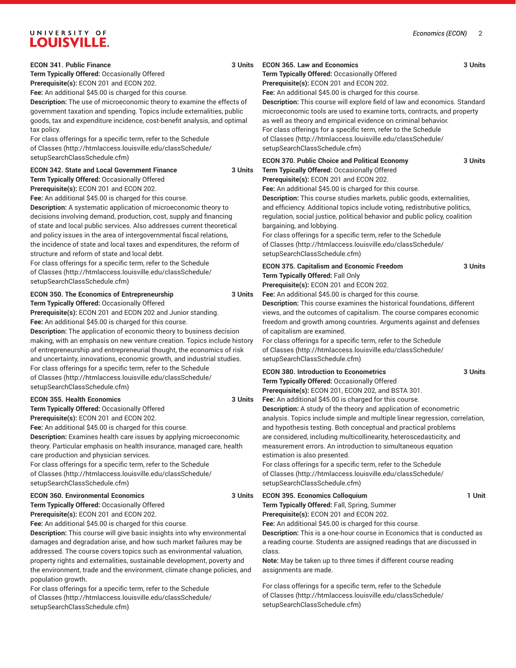# UNIVERSITY OF LOUISVILLE.

[setupSearchClassSchedule.cfm\)](http://htmlaccess.louisville.edu/classSchedule/setupSearchClassSchedule.cfm)

| <b>ECON 341. Public Finance</b>                                                                                                                                                                                                                                                                                                                                                                                                                                                                                                                                                                                                            | 3 Units | <b>ECON 365. Law and Economics</b>                                                                                                                                                                                                                                                                                                                                                                                                                                                                                                                                                      | 3 Units |
|--------------------------------------------------------------------------------------------------------------------------------------------------------------------------------------------------------------------------------------------------------------------------------------------------------------------------------------------------------------------------------------------------------------------------------------------------------------------------------------------------------------------------------------------------------------------------------------------------------------------------------------------|---------|-----------------------------------------------------------------------------------------------------------------------------------------------------------------------------------------------------------------------------------------------------------------------------------------------------------------------------------------------------------------------------------------------------------------------------------------------------------------------------------------------------------------------------------------------------------------------------------------|---------|
| Term Typically Offered: Occasionally Offered<br>Prerequisite(s): ECON 201 and ECON 202.                                                                                                                                                                                                                                                                                                                                                                                                                                                                                                                                                    |         | Term Typically Offered: Occasionally Offered<br>Prerequisite(s): ECON 201 and ECON 202.                                                                                                                                                                                                                                                                                                                                                                                                                                                                                                 |         |
| Fee: An additional \$45.00 is charged for this course.                                                                                                                                                                                                                                                                                                                                                                                                                                                                                                                                                                                     |         | Fee: An additional \$45.00 is charged for this course.                                                                                                                                                                                                                                                                                                                                                                                                                                                                                                                                  |         |
| Description: The use of microeconomic theory to examine the effects of<br>government taxation and spending. Topics include externalities, public<br>goods, tax and expenditure incidence, cost-benefit analysis, and optimal<br>tax policy.<br>For class offerings for a specific term, refer to the Schedule<br>of Classes (http://htmlaccess.louisville.edu/classSchedule/                                                                                                                                                                                                                                                               |         | Description: This course will explore field of law and economics. Standard<br>microeconomic tools are used to examine torts, contracts, and property<br>as well as theory and empirical evidence on criminal behavior.<br>For class offerings for a specific term, refer to the Schedule<br>of Classes (http://htmlaccess.louisville.edu/classSchedule/<br>setupSearchClassSchedule.cfm)                                                                                                                                                                                                |         |
| setupSearchClassSchedule.cfm)                                                                                                                                                                                                                                                                                                                                                                                                                                                                                                                                                                                                              |         | <b>ECON 370. Public Choice and Political Economy</b>                                                                                                                                                                                                                                                                                                                                                                                                                                                                                                                                    | 3 Units |
| <b>ECON 342. State and Local Government Finance</b><br>3 Units<br>Term Typically Offered: Occasionally Offered<br>Prerequisite(s): ECON 201 and ECON 202.<br>Fee: An additional \$45.00 is charged for this course.<br>Description: A systematic application of microeconomic theory to<br>decisions involving demand, production, cost, supply and financing<br>of state and local public services. Also addresses current theoretical<br>and policy issues in the area of intergovernmental fiscal relations,<br>the incidence of state and local taxes and expenditures, the reform of<br>structure and reform of state and local debt. |         | Term Typically Offered: Occasionally Offered<br>Prerequisite(s): ECON 201 and ECON 202.<br>Fee: An additional \$45.00 is charged for this course.<br>Description: This course studies markets, public goods, externalities,<br>and efficiency. Additional topics include voting, redistributive politics,<br>regulation, social justice, political behavior and public policy, coalition<br>bargaining, and lobbying.<br>For class offerings for a specific term, refer to the Schedule<br>of Classes (http://htmlaccess.louisville.edu/classSchedule/<br>setupSearchClassSchedule.cfm) |         |
| For class offerings for a specific term, refer to the Schedule<br>of Classes (http://htmlaccess.louisville.edu/classSchedule/<br>setupSearchClassSchedule.cfm)                                                                                                                                                                                                                                                                                                                                                                                                                                                                             |         | <b>ECON 375. Capitalism and Economic Freedom</b><br>Term Typically Offered: Fall Only<br>Prerequisite(s): ECON 201 and ECON 202.                                                                                                                                                                                                                                                                                                                                                                                                                                                        | 3 Units |
| ECON 350. The Economics of Entrepreneurship<br>Term Typically Offered: Occasionally Offered<br>Prerequisite(s): ECON 201 and ECON 202 and Junior standing.<br>Fee: An additional \$45.00 is charged for this course.<br>Description: The application of economic theory to business decision<br>making, with an emphasis on new venture creation. Topics include history<br>of entrepreneurship and entrepreneurial thought, the economics of risk<br>and uncertainty, innovations, economic growth, and industrial studies.                                                                                                               |         | Fee: An additional \$45.00 is charged for this course.<br>Description: This course examines the historical foundations, different<br>views, and the outcomes of capitalism. The course compares economic<br>freedom and growth among countries. Arguments against and defenses<br>of capitalism are examined.<br>For class offerings for a specific term, refer to the Schedule<br>of Classes (http://htmlaccess.louisville.edu/classSchedule/<br>setupSearchClassSchedule.cfm)                                                                                                         |         |
| For class offerings for a specific term, refer to the Schedule<br>of Classes (http://htmlaccess.louisville.edu/classSchedule/<br>setupSearchClassSchedule.cfm)                                                                                                                                                                                                                                                                                                                                                                                                                                                                             |         | <b>ECON 380. Introduction to Econometrics</b><br>Term Typically Offered: Occasionally Offered<br>Prerequisite(s): ECON 201, ECON 202, and BSTA 301.                                                                                                                                                                                                                                                                                                                                                                                                                                     | 3 Units |
| <b>ECON 355. Health Economics</b>                                                                                                                                                                                                                                                                                                                                                                                                                                                                                                                                                                                                          | 3 Units | Fee: An additional \$45.00 is charged for this course.                                                                                                                                                                                                                                                                                                                                                                                                                                                                                                                                  |         |
| Term Typically Offered: Occasionally Offered<br>Prerequisite(s): ECON 201 and ECON 202.<br>Fee: An additional \$45.00 is charged for this course.<br>Description: Examines health care issues by applying microeconomic<br>theory. Particular emphasis on health insurance, managed care, health<br>care production and physician services.<br>For class offerings for a specific term, refer to the Schedule<br>of Classes (http://htmlaccess.louisville.edu/classSchedule/<br>setupSearchClassSchedule.cfm)                                                                                                                              |         | Description: A study of the theory and application of econometric<br>analysis. Topics include simple and multiple linear regression, correlation,<br>and hypothesis testing. Both conceptual and practical problems<br>are considered, including multicollinearity, heteroscedasticity, and<br>measurement errors. An introduction to simultaneous equation<br>estimation is also presented.<br>For class offerings for a specific term, refer to the Schedule<br>of Classes (http://htmlaccess.louisville.edu/classSchedule/<br>setupSearchClassSchedule.cfm)                          |         |
| <b>ECON 360. Environmental Economics</b>                                                                                                                                                                                                                                                                                                                                                                                                                                                                                                                                                                                                   | 3 Units | <b>ECON 395. Economics Colloquium</b>                                                                                                                                                                                                                                                                                                                                                                                                                                                                                                                                                   | 1 Unit  |
| Term Typically Offered: Occasionally Offered<br>Prerequisite(s): ECON 201 and ECON 202.<br>Fee: An additional \$45.00 is charged for this course.<br>Description: This course will give basic insights into why environmental<br>damages and degradation arise, and how such market failures may be<br>addressed. The course covers topics such as environmental valuation,<br>property rights and externalities, sustainable development, poverty and<br>the environment, trade and the environment, climate change policies, and<br>population growth.                                                                                   |         | Term Typically Offered: Fall, Spring, Summer<br>Prerequisite(s): ECON 201 and ECON 202.<br>Fee: An additional \$45.00 is charged for this course.<br>Description: This is a one-hour course in Economics that is conducted as<br>a reading course. Students are assigned readings that are discussed in<br>class.<br>Note: May be taken up to three times if different course reading<br>assignments are made.<br>For class offerings for a specific term, refer to the Schedule                                                                                                        |         |
| For class offerings for a specific term, refer to the Schedule<br>of Classes (http://htmlaccess.louisville.edu/classSchedule/<br>setupSearchClassSchedule.cfm)                                                                                                                                                                                                                                                                                                                                                                                                                                                                             |         | of Classes (http://htmlaccess.louisville.edu/classSchedule/<br>setupSearchClassSchedule.cfm)                                                                                                                                                                                                                                                                                                                                                                                                                                                                                            |         |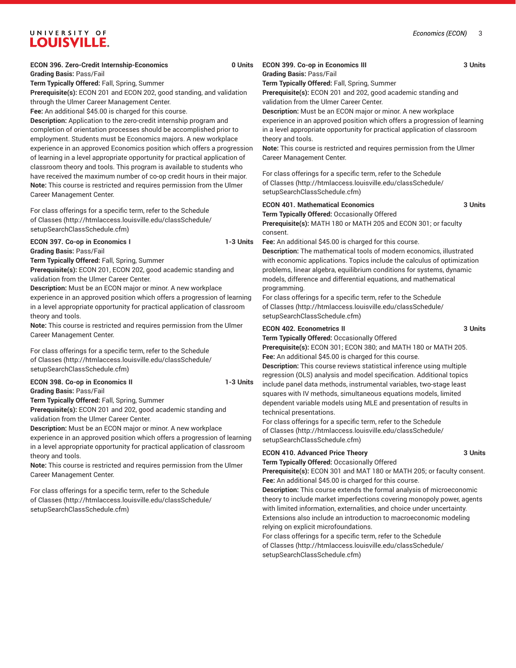### UNIVERSITY OF **LOUISVILLE.**

### **ECON 396. Zero-Credit Internship-Economics 0 Units**

**Grading Basis:** Pass/Fail

**Term Typically Offered:** Fall, Spring, Summer

**Prerequisite(s):** ECON 201 and ECON 202, good standing, and validation through the Ulmer Career Management Center.

**Fee:** An additional \$45.00 is charged for this course.

**Description:** Application to the zero-credit internship program and completion of orientation processes should be accomplished prior to employment. Students must be Economics majors. A new workplace experience in an approved Economics position which offers a progression of learning in a level appropriate opportunity for practical application of classroom theory and tools. This program is available to students who have received the maximum number of co-op credit hours in their major. **Note:** This course is restricted and requires permission from the Ulmer Career Management Center.

For class offerings for a specific term, refer to the [Schedule](http://htmlaccess.louisville.edu/classSchedule/setupSearchClassSchedule.cfm) [of Classes \(http://htmlaccess.louisville.edu/classSchedule/](http://htmlaccess.louisville.edu/classSchedule/setupSearchClassSchedule.cfm) [setupSearchClassSchedule.cfm\)](http://htmlaccess.louisville.edu/classSchedule/setupSearchClassSchedule.cfm)

### **ECON 397. Co-op in Economics I 1-3 Units**

**Grading Basis:** Pass/Fail

**Term Typically Offered:** Fall, Spring, Summer

**Prerequisite(s):** ECON 201, ECON 202, good academic standing and validation from the Ulmer Career Center.

**Description:** Must be an ECON major or minor. A new workplace experience in an approved position which offers a progression of learning in a level appropriate opportunity for practical application of classroom theory and tools.

**Note:** This course is restricted and requires permission from the Ulmer Career Management Center.

For class offerings for a specific term, refer to the [Schedule](http://htmlaccess.louisville.edu/classSchedule/setupSearchClassSchedule.cfm) [of Classes \(http://htmlaccess.louisville.edu/classSchedule/](http://htmlaccess.louisville.edu/classSchedule/setupSearchClassSchedule.cfm) [setupSearchClassSchedule.cfm\)](http://htmlaccess.louisville.edu/classSchedule/setupSearchClassSchedule.cfm)

### **ECON 398. Co-op in Economics II 1-3 Units**

**Grading Basis:** Pass/Fail

**Term Typically Offered:** Fall, Spring, Summer

**Prerequisite(s):** ECON 201 and 202, good academic standing and validation from the Ulmer Career Center.

**Description:** Must be an ECON major or minor. A new workplace experience in an approved position which offers a progression of learning in a level appropriate opportunity for practical application of classroom theory and tools.

**Note:** This course is restricted and requires permission from the Ulmer Career Management Center.

For class offerings for a specific term, refer to the [Schedule](http://htmlaccess.louisville.edu/classSchedule/setupSearchClassSchedule.cfm) [of Classes \(http://htmlaccess.louisville.edu/classSchedule/](http://htmlaccess.louisville.edu/classSchedule/setupSearchClassSchedule.cfm) [setupSearchClassSchedule.cfm\)](http://htmlaccess.louisville.edu/classSchedule/setupSearchClassSchedule.cfm)

### **ECON 399. Co-op in Economics III 3 Units Grading Basis:** Pass/Fail

**Term Typically Offered:** Fall, Spring, Summer **Prerequisite(s):** ECON 201 and 202, good academic standing and validation from the Ulmer Career Center.

**Description:** Must be an ECON major or minor. A new workplace experience in an approved position which offers a progression of learning in a level appropriate opportunity for practical application of classroom theory and tools.

**Note:** This course is restricted and requires permission from the Ulmer Career Management Center.

For class offerings for a specific term, refer to the [Schedule](http://htmlaccess.louisville.edu/classSchedule/setupSearchClassSchedule.cfm) [of Classes](http://htmlaccess.louisville.edu/classSchedule/setupSearchClassSchedule.cfm) ([http://htmlaccess.louisville.edu/classSchedule/](http://htmlaccess.louisville.edu/classSchedule/setupSearchClassSchedule.cfm) [setupSearchClassSchedule.cfm\)](http://htmlaccess.louisville.edu/classSchedule/setupSearchClassSchedule.cfm)

**ECON 401. Mathematical Economics 3 Units Term Typically Offered:** Occasionally Offered

**Prerequisite(s):** MATH 180 or MATH 205 and ECON 301; or faculty consent.

**Fee:** An additional \$45.00 is charged for this course.

**Description:** The mathematical tools of modern economics, illustrated with economic applications. Topics include the calculus of optimization problems, linear algebra, equilibrium conditions for systems, dynamic models, difference and differential equations, and mathematical programming.

For class offerings for a specific term, refer to the [Schedule](http://htmlaccess.louisville.edu/classSchedule/setupSearchClassSchedule.cfm) [of Classes](http://htmlaccess.louisville.edu/classSchedule/setupSearchClassSchedule.cfm) ([http://htmlaccess.louisville.edu/classSchedule/](http://htmlaccess.louisville.edu/classSchedule/setupSearchClassSchedule.cfm) [setupSearchClassSchedule.cfm\)](http://htmlaccess.louisville.edu/classSchedule/setupSearchClassSchedule.cfm)

### **ECON 402. Econometrics II 3 Units**

**Term Typically Offered:** Occasionally Offered

**Prerequisite(s):** ECON 301; ECON 380; and MATH 180 or MATH 205. **Fee:** An additional \$45.00 is charged for this course.

**Description:** This course reviews statistical inference using multiple regression (OLS) analysis and model specification. Additional topics include panel data methods, instrumental variables, two-stage least squares with IV methods, simultaneous equations models, limited dependent variable models using MLE and presentation of results in technical presentations.

For class offerings for a specific term, refer to the [Schedule](http://htmlaccess.louisville.edu/classSchedule/setupSearchClassSchedule.cfm) [of Classes](http://htmlaccess.louisville.edu/classSchedule/setupSearchClassSchedule.cfm) ([http://htmlaccess.louisville.edu/classSchedule/](http://htmlaccess.louisville.edu/classSchedule/setupSearchClassSchedule.cfm) [setupSearchClassSchedule.cfm\)](http://htmlaccess.louisville.edu/classSchedule/setupSearchClassSchedule.cfm)

### **ECON 410. Advanced Price Theory 3 Units**

**Term Typically Offered:** Occasionally Offered

**Prerequisite(s):** ECON 301 and MAT 180 or MATH 205; or faculty consent. **Fee:** An additional \$45.00 is charged for this course.

**Description:** This course extends the formal analysis of microeconomic theory to include market imperfections covering monopoly power, agents with limited information, externalities, and choice under uncertainty. Extensions also include an introduction to macroeconomic modeling relying on explicit microfoundations.

For class offerings for a specific term, refer to the [Schedule](http://htmlaccess.louisville.edu/classSchedule/setupSearchClassSchedule.cfm) [of Classes](http://htmlaccess.louisville.edu/classSchedule/setupSearchClassSchedule.cfm) ([http://htmlaccess.louisville.edu/classSchedule/](http://htmlaccess.louisville.edu/classSchedule/setupSearchClassSchedule.cfm) [setupSearchClassSchedule.cfm\)](http://htmlaccess.louisville.edu/classSchedule/setupSearchClassSchedule.cfm)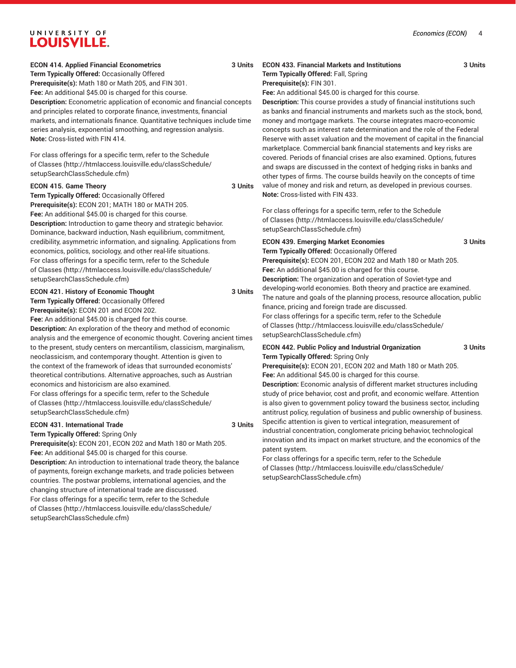### UNIVERSITY OF **LOUISVILLE.**

### **ECON 414. Applied Financial Econometrics 3 Units**

**Term Typically Offered:** Occasionally Offered **Prerequisite(s):** Math 180 or Math 205, and FIN 301. **Fee:** An additional \$45.00 is charged for this course. **Description:** Econometric application of economic and financial concepts and principles related to corporate finance, investments, financial markets, and internationals finance. Quantitative techniques include time series analysis, exponential smoothing, and regression analysis. **Note:** Cross-listed with FIN 414.

For class offerings for a specific term, refer to the [Schedule](http://htmlaccess.louisville.edu/classSchedule/setupSearchClassSchedule.cfm) [of Classes \(http://htmlaccess.louisville.edu/classSchedule/](http://htmlaccess.louisville.edu/classSchedule/setupSearchClassSchedule.cfm) [setupSearchClassSchedule.cfm\)](http://htmlaccess.louisville.edu/classSchedule/setupSearchClassSchedule.cfm)

#### **ECON 415. Game Theory 3 Units**

**Term Typically Offered:** Occasionally Offered **Prerequisite(s):** ECON 201; MATH 180 or MATH 205. **Fee:** An additional \$45.00 is charged for this course. **Description:** Introduction to game theory and strategic behavior. Dominance, backward induction, Nash equilibrium, commitment, credibility, asymmetric information, and signaling. Applications from economics, politics, sociology, and other real-life situations. For class offerings for a specific term, refer to the [Schedule](http://htmlaccess.louisville.edu/classSchedule/setupSearchClassSchedule.cfm) [of Classes \(http://htmlaccess.louisville.edu/classSchedule/](http://htmlaccess.louisville.edu/classSchedule/setupSearchClassSchedule.cfm) [setupSearchClassSchedule.cfm\)](http://htmlaccess.louisville.edu/classSchedule/setupSearchClassSchedule.cfm)

### **ECON 421. History of Economic Thought 3 Units Term Typically Offered:** Occasionally Offered

**Prerequisite(s):** ECON 201 and ECON 202.

**Fee:** An additional \$45.00 is charged for this course.

**Description:** An exploration of the theory and method of economic analysis and the emergence of economic thought. Covering ancient times to the present, study centers on mercantilism, classicism, marginalism, neoclassicism, and contemporary thought. Attention is given to the context of the framework of ideas that surrounded economists' theoretical contributions. Alternative approaches, such as Austrian economics and historicism are also examined.

For class offerings for a specific term, refer to the [Schedule](http://htmlaccess.louisville.edu/classSchedule/setupSearchClassSchedule.cfm) [of Classes \(http://htmlaccess.louisville.edu/classSchedule/](http://htmlaccess.louisville.edu/classSchedule/setupSearchClassSchedule.cfm) [setupSearchClassSchedule.cfm\)](http://htmlaccess.louisville.edu/classSchedule/setupSearchClassSchedule.cfm)

#### **ECON 431. International Trade 3 Units**

**Term Typically Offered:** Spring Only

**Prerequisite(s):** ECON 201, ECON 202 and Math 180 or Math 205. **Fee:** An additional \$45.00 is charged for this course. **Description:** An introduction to international trade theory, the balance of payments, foreign exchange markets, and trade policies between countries. The postwar problems, international agencies, and the

changing structure of international trade are discussed. For class offerings for a specific term, refer to the [Schedule](http://htmlaccess.louisville.edu/classSchedule/setupSearchClassSchedule.cfm) [of Classes \(http://htmlaccess.louisville.edu/classSchedule/](http://htmlaccess.louisville.edu/classSchedule/setupSearchClassSchedule.cfm) [setupSearchClassSchedule.cfm\)](http://htmlaccess.louisville.edu/classSchedule/setupSearchClassSchedule.cfm)

### **ECON 433. Financial Markets and Institutions 3 Units Term Typically Offered:** Fall, Spring

```
Prerequisite(s): FIN 301.
```
**Fee:** An additional \$45.00 is charged for this course.

**Description:** This course provides a study of financial institutions such as banks and financial instruments and markets such as the stock, bond, money and mortgage markets. The course integrates macro-economic concepts such as interest rate determination and the role of the Federal Reserve with asset valuation and the movement of capital in the financial marketplace. Commercial bank financial statements and key risks are covered. Periods of financial crises are also examined. Options, futures and swaps are discussed in the context of hedging risks in banks and other types of firms. The course builds heavily on the concepts of time value of money and risk and return, as developed in previous courses. **Note:** Cross-listed with FIN 433.

For class offerings for a specific term, refer to the [Schedule](http://htmlaccess.louisville.edu/classSchedule/setupSearchClassSchedule.cfm) [of Classes](http://htmlaccess.louisville.edu/classSchedule/setupSearchClassSchedule.cfm) ([http://htmlaccess.louisville.edu/classSchedule/](http://htmlaccess.louisville.edu/classSchedule/setupSearchClassSchedule.cfm) [setupSearchClassSchedule.cfm\)](http://htmlaccess.louisville.edu/classSchedule/setupSearchClassSchedule.cfm)

#### **ECON 439. Emerging Market Economies 3 Units**

**Term Typically Offered:** Occasionally Offered **Prerequisite(s):** ECON 201, ECON 202 and Math 180 or Math 205. **Fee:** An additional \$45.00 is charged for this course. **Description:** The organization and operation of Soviet-type and developing-world economies. Both theory and practice are examined. The nature and goals of the planning process, resource allocation, public finance, pricing and foreign trade are discussed. For class offerings for a specific term, refer to the [Schedule](http://htmlaccess.louisville.edu/classSchedule/setupSearchClassSchedule.cfm) [of Classes](http://htmlaccess.louisville.edu/classSchedule/setupSearchClassSchedule.cfm) ([http://htmlaccess.louisville.edu/classSchedule/](http://htmlaccess.louisville.edu/classSchedule/setupSearchClassSchedule.cfm) [setupSearchClassSchedule.cfm\)](http://htmlaccess.louisville.edu/classSchedule/setupSearchClassSchedule.cfm)

### **ECON 442. Public Policy and Industrial Organization 3 Units Term Typically Offered:** Spring Only

**Prerequisite(s):** ECON 201, ECON 202 and Math 180 or Math 205. **Fee:** An additional \$45.00 is charged for this course.

**Description:** Economic analysis of different market structures including study of price behavior, cost and profit, and economic welfare. Attention is also given to government policy toward the business sector, including antitrust policy, regulation of business and public ownership of business. Specific attention is given to vertical integration, measurement of industrial concentration, conglomerate pricing behavior, technological innovation and its impact on market structure, and the economics of the patent system.

For class offerings for a specific term, refer to the [Schedule](http://htmlaccess.louisville.edu/classSchedule/setupSearchClassSchedule.cfm) [of Classes](http://htmlaccess.louisville.edu/classSchedule/setupSearchClassSchedule.cfm) ([http://htmlaccess.louisville.edu/classSchedule/](http://htmlaccess.louisville.edu/classSchedule/setupSearchClassSchedule.cfm) [setupSearchClassSchedule.cfm\)](http://htmlaccess.louisville.edu/classSchedule/setupSearchClassSchedule.cfm)